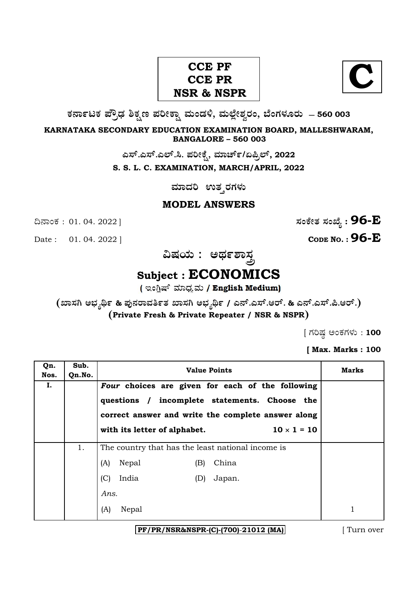## CCE PF<br>
CCE PR
<br>
R
& NSPR
<br>
N **C CCE PR NSR & NSPR**

**O⁄´¤%lO⁄ ÆË√v⁄ ÃO⁄–y Æ⁄¬fiO¤– »⁄flMs⁄ÿ, »⁄fl≈Ê«fiÀ⁄ ¡⁄M, ∑ÊMV⁄◊⁄‡¡⁄fl — 560 003** 

**KARNATAKA SECONDARY EDUCATION EXAMINATION BOARD, MALLESHWARAM, BANGALORE – 560 003** 

ಎಸ್.ಎಸ್.ಎಲ್.ಸಿ. ಪರೀಕ್ಷೆ, ಮಾರ್ಚ್/ಏಪ್ರಿಲ್, 2022

**S. S. L. C. EXAMINATION, MARCH/APRIL, 2022** 

**ಮಾದರಿ** ಉತ್ತರಗಳು

## **MODEL ANSWERS**

Date : 01. 04. 2022 | **CODE NO. : 96-E** 

¶´¤MO⁄ : 01. 04. 2022 ] **—⁄MOÊfi}⁄ —⁄MSÊ¿ : 96-E**

**…Œ⁄æ⁄fl : @¢⁄%À¤—⁄°**

## **Subject : ECONOMICS**

( ಇಂಗ್ಲಿಷ್ ಮಾಧ್ಯಮ / English Medium)

**(S¤—⁄W @∫⁄¥¿£% & Æ⁄'¥´⁄¡¤»⁄~%}⁄ S¤—⁄W @∫⁄¥¿£% / G´È.G—È.A¡È. & G´È.G—È.Ø.A¡È.) (Private Fresh & Private Repeater / NSR & NSPR)**

 $[$  ಗರಿಷ್ಣ ಅಂಕಗಳು : 100

**[ Max. Marks : 100** 

| Qn.<br>Nos. | Sub.<br>Qn.No. | <b>Value Points</b>                                                                                 | Marks |
|-------------|----------------|-----------------------------------------------------------------------------------------------------|-------|
| Ι.          |                | Four choices are given for each of the following                                                    |       |
|             |                | questions / incomplete statements. Choose the<br>correct answer and write the complete answer along |       |
|             |                | $10 \times 1 = 10$<br>with its letter of alphabet.                                                  |       |
|             | 1.             | The country that has the least national income is                                                   |       |
|             |                | China<br>(A)<br>Nepal<br>(B)                                                                        |       |
|             |                | (C)<br>India<br>Japan.<br>(D)                                                                       |       |
|             |                | Ans.                                                                                                |       |
|             |                | (A)<br>Nepal                                                                                        |       |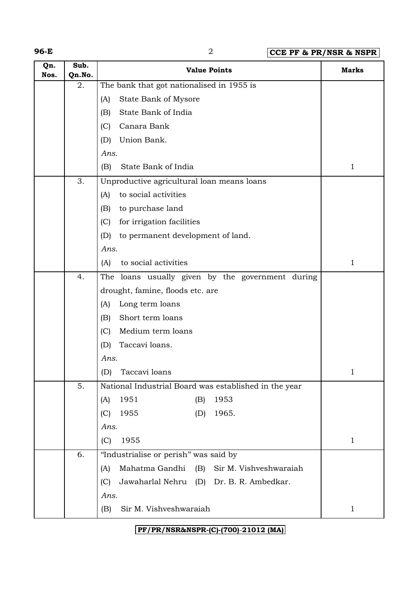**96-E** 2 **CCE PF & PR/NSR & NSPR**

| Qn.<br>Nos. | Sub.<br>Qn.No. | <b>Value Points</b>                                    | <b>Marks</b> |
|-------------|----------------|--------------------------------------------------------|--------------|
|             | 2.             | The bank that got nationalised in 1955 is              |              |
|             |                | State Bank of Mysore<br>(A)                            |              |
|             |                | State Bank of India<br>(B)                             |              |
|             |                | Canara Bank<br>(C)                                     |              |
|             |                | Union Bank.<br>(D)                                     |              |
|             |                | Ans.                                                   |              |
|             |                | State Bank of India<br>(B)                             | $\mathbf 1$  |
|             | 3.             | Unproductive agricultural loan means loans             |              |
|             |                | to social activities<br>(A)                            |              |
|             |                | to purchase land<br>(B)                                |              |
|             |                | for irrigation facilities<br>(C)                       |              |
|             |                | to permanent development of land.<br>(D)               |              |
|             |                | Ans.                                                   |              |
|             |                | to social activities<br>(A)                            | 1            |
|             | 4.             | The loans usually given by the government during       |              |
|             |                | drought, famine, floods etc. are                       |              |
|             |                | Long term loans<br>(A)                                 |              |
|             |                | Short term loans<br>(B)                                |              |
|             |                | Medium term loans<br>(C)                               |              |
|             |                | Taccavi loans.<br>(D)                                  |              |
|             |                | Ans.                                                   |              |
|             |                | (D) Taccavi loans                                      |              |
|             | 5.             | National Industrial Board was established in the year  |              |
|             |                | 1953<br>1951<br>(B)<br>(A)                             |              |
|             |                | 1955<br>1965.<br>(D)<br>(C)                            |              |
|             |                | Ans.                                                   |              |
|             |                | 1955<br>(C)                                            | $\mathbf 1$  |
|             | 6.             | "Industrialise or perish" was said by                  |              |
|             |                | Mahatma Gandhi<br>(B)<br>Sir M. Vishveshwaraiah<br>(A) |              |
|             |                | Jawaharlal Nehru (D) Dr. B. R. Ambedkar.<br>(C)        |              |
|             |                | Ans.                                                   |              |
|             |                | Sir M. Vishveshwaraiah<br>(B)                          | $\mathbf{1}$ |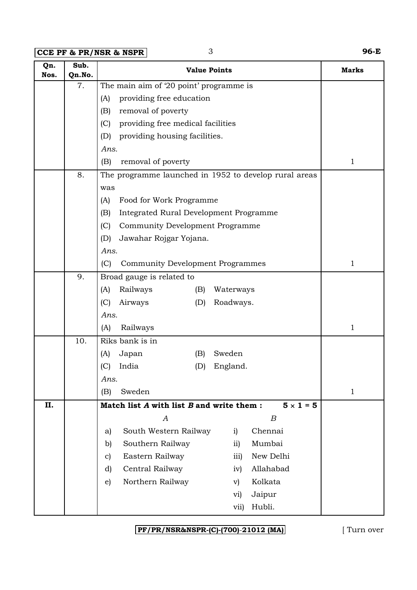**CCE PF & PR/NSR & NSPR** 3 **96-E**

| Qn.<br>Nos. | Sub.<br>Qn.No. | <b>Value Points</b>                                           | <b>Marks</b> |
|-------------|----------------|---------------------------------------------------------------|--------------|
|             | 7.             | The main aim of '20 point' programme is                       |              |
|             |                | providing free education<br>(A)                               |              |
|             |                | removal of poverty<br>(B)                                     |              |
|             |                | providing free medical facilities<br>(C)                      |              |
|             |                | (D)<br>providing housing facilities.                          |              |
|             |                | Ans.                                                          |              |
|             |                | (B)<br>removal of poverty                                     | $\mathbf{1}$ |
|             | 8.             | The programme launched in 1952 to develop rural areas         |              |
|             |                | was                                                           |              |
|             |                | Food for Work Programme<br>(A)                                |              |
|             |                | Integrated Rural Development Programme<br>(B)                 |              |
|             |                | Community Development Programme<br>(C)                        |              |
|             |                | (D)<br>Jawahar Rojgar Yojana.                                 |              |
|             |                | Ans.                                                          |              |
|             |                | (C)<br>Community Development Programmes                       | $\mathbf{1}$ |
|             | 9.             | Broad gauge is related to                                     |              |
|             |                | (A)<br>Railways<br>(B)<br>Waterways                           |              |
|             |                | (C)<br>Airways<br>(D)<br>Roadways.                            |              |
|             |                | Ans.                                                          |              |
|             |                | (A)<br>Railways                                               | $\mathbf{1}$ |
|             | 10.            | Riks bank is in                                               |              |
|             |                | Sweden<br>(A)<br>Japan<br>(B)                                 |              |
|             |                | India<br>(C)<br>(D)<br>England.                               |              |
|             |                | Ans.                                                          |              |
|             |                | (B)<br>Sweden                                                 | $\mathbf{1}$ |
| II.         |                | $5 \times 1 = 5$<br>Match list A with list B and write them : |              |
|             |                | $\boldsymbol{B}$<br>A                                         |              |
|             |                | Chennai<br>South Western Railway<br>i)<br>a)                  |              |
|             |                | Southern Railway<br>Mumbai<br>$\overline{11}$<br>b)           |              |
|             |                | New Delhi<br>Eastern Railway<br>iii)<br>c)                    |              |
|             |                | Central Railway<br>Allahabad<br>d)<br>iv)                     |              |
|             |                | Northern Railway<br>Kolkata<br>$\epsilon$<br>$\mathbf{v})$    |              |
|             |                | Jaipur<br>vi)                                                 |              |
|             |                | Hubli.<br>vii)                                                |              |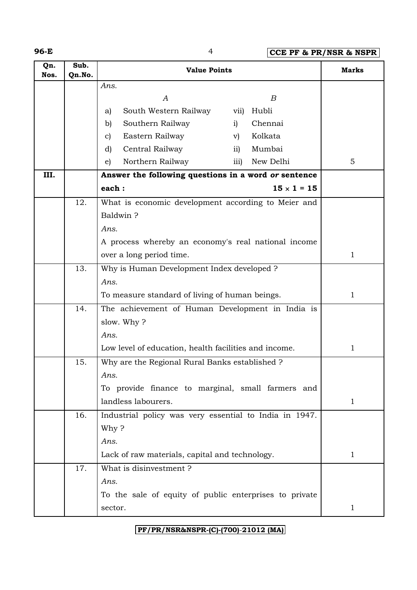**96-E** 4 **CCE PF & PR/NSR & NSPR**

| Qn.<br>Nos. | Sub.<br>Qn.No. | <b>Value Points</b>                                    | <b>Marks</b>              |              |
|-------------|----------------|--------------------------------------------------------|---------------------------|--------------|
|             |                | Ans.                                                   |                           |              |
|             |                | A                                                      | B                         |              |
|             |                | South Western Railway<br>a)                            | vii)<br>Hubli             |              |
|             |                | Southern Railway<br>b)                                 | Chennai<br>i)             |              |
|             |                | Eastern Railway<br>$\mathbf{c}$                        | Kolkata<br>$\mathbf{v})$  |              |
|             |                | Central Railway<br>d)                                  | Mumbai<br>$\overline{11}$ |              |
|             |                | Northern Railway<br>$\epsilon$ )                       | New Delhi<br>iii)         | 5            |
| III.        |                | Answer the following questions in a word or sentence   |                           |              |
|             |                | each:                                                  | $15 \times 1 = 15$        |              |
|             | 12.            | What is economic development according to Meier and    |                           |              |
|             |                | Baldwin?                                               |                           |              |
|             |                | Ans.                                                   |                           |              |
|             |                | A process whereby an economy's real national income    |                           |              |
|             |                | over a long period time.                               | 1                         |              |
|             | 13.            | Why is Human Development Index developed ?             |                           |              |
|             |                | Ans.                                                   |                           |              |
|             |                | To measure standard of living of human beings.         | $\mathbf{1}$              |              |
|             | 14.            | The achievement of Human Development in India is       |                           |              |
|             |                | slow. Why?                                             |                           |              |
|             |                | Ans.                                                   |                           |              |
|             |                | Low level of education, health facilities and income.  | 1                         |              |
|             | 15.            | Why are the Regional Rural Banks established ?         |                           |              |
|             |                | Ans.                                                   |                           |              |
|             |                | To provide finance to marginal, small farmers and      |                           |              |
|             |                | landless labourers.                                    |                           | $\mathbf 1$  |
|             | 16.            | Industrial policy was very essential to India in 1947. |                           |              |
|             |                | Why?                                                   |                           |              |
|             |                | Ans.                                                   |                           |              |
|             |                | Lack of raw materials, capital and technology.         |                           | $\mathbf{1}$ |
|             | 17.            | What is disinvestment?                                 |                           |              |
|             |                | Ans.                                                   |                           |              |
|             |                | To the sale of equity of public enterprises to private |                           |              |
|             |                | sector.                                                |                           | $\mathbf 1$  |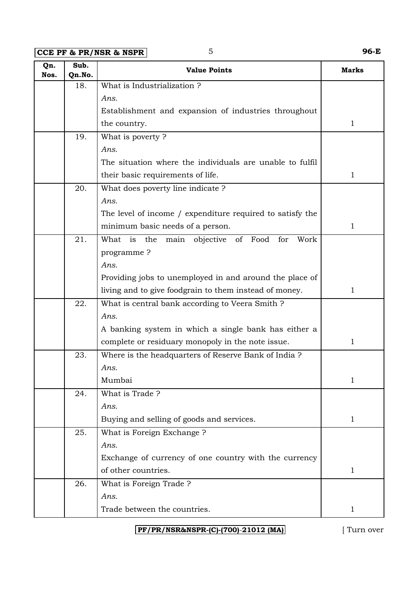**CCE PF & PR/NSR & NSPR** 5 **96-E**

| Qn.<br>Nos. | Sub.<br>Qn.No. | <b>Value Points</b>                                                 | <b>Marks</b> |
|-------------|----------------|---------------------------------------------------------------------|--------------|
|             | 18.            | What is Industrialization?                                          |              |
|             |                | Ans.                                                                |              |
|             |                | Establishment and expansion of industries throughout                |              |
|             |                | the country.                                                        | $\mathbf{1}$ |
|             | 19.            | What is poverty?                                                    |              |
|             |                | Ans.                                                                |              |
|             |                | The situation where the individuals are unable to fulfil            |              |
|             |                | their basic requirements of life.                                   | $\mathbf{1}$ |
|             | 20.            | What does poverty line indicate ?                                   |              |
|             |                | Ans.                                                                |              |
|             |                | The level of income / expenditure required to satisfy the           |              |
|             |                | minimum basic needs of a person.                                    | $\mathbf{1}$ |
|             | 21.            | What<br>is<br>the<br>objective<br>of<br>Food<br>for<br>Work<br>main |              |
|             |                | programme?                                                          |              |
|             |                | Ans.                                                                |              |
|             |                | Providing jobs to unemployed in and around the place of             |              |
|             |                | living and to give foodgrain to them instead of money.              | $\mathbf{1}$ |
|             | 22.            | What is central bank according to Veera Smith ?                     |              |
|             |                | Ans.                                                                |              |
|             |                | A banking system in which a single bank has either a                |              |
|             |                | complete or residuary monopoly in the note issue.                   | $\mathbf 1$  |
|             | 23.            | Where is the headquarters of Reserve Bank of India?                 |              |
|             |                | Ans.                                                                |              |
|             |                | Mumbai                                                              | $\mathbf 1$  |
|             | 24.            | What is Trade?                                                      |              |
|             |                | Ans.                                                                |              |
|             |                | Buying and selling of goods and services.                           | $\mathbf{1}$ |
|             | 25.            | What is Foreign Exchange?                                           |              |
|             |                | Ans.                                                                |              |
|             |                | Exchange of currency of one country with the currency               |              |
|             |                | of other countries.                                                 | $\mathbf{1}$ |
|             | 26.            | What is Foreign Trade?                                              |              |
|             |                | Ans.                                                                |              |
|             |                | Trade between the countries.                                        | $\mathbf{1}$ |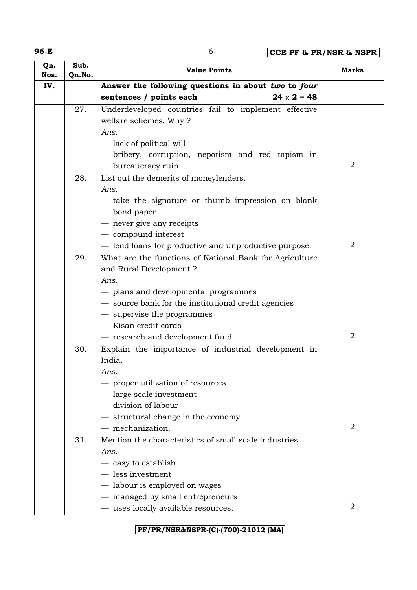**96-E** 6 **CCE PF & PR/NSR & NSPR**

| Qn.<br>Nos. | Sub.<br>Qn.No. | <b>Value Points</b>                                     | Marks          |
|-------------|----------------|---------------------------------------------------------|----------------|
| IV.         |                | Answer the following questions in about two to four     |                |
|             |                | $24 \times 2 = 48$<br>sentences / points each           |                |
|             | 27.            | Underdeveloped countries fail to implement effective    |                |
|             |                | welfare schemes. Why?                                   |                |
|             |                | Ans.                                                    |                |
|             |                | - lack of political will                                |                |
|             |                | - bribery, corruption, nepotism and red tapism in       |                |
|             |                | bureaucracy ruin.                                       | 2              |
|             | 28.            | List out the demerits of moneylenders.                  |                |
|             |                | Ans.                                                    |                |
|             |                | - take the signature or thumb impression on blank       |                |
|             |                | bond paper                                              |                |
|             |                | never give any receipts                                 |                |
|             |                | - compound interest                                     |                |
|             |                | - lend loans for productive and unproductive purpose.   | $\overline{2}$ |
|             | 29.            | What are the functions of National Bank for Agriculture |                |
|             |                | and Rural Development?                                  |                |
|             |                | Ans.                                                    |                |
|             |                | - plans and developmental programmes                    |                |
|             |                | - source bank for the institutional credit agencies     |                |
|             |                | - supervise the programmes                              |                |
|             |                | - Kisan credit cards                                    |                |
|             |                | - research and development fund.                        | $\overline{2}$ |
|             | 30.            | Explain the importance of industrial development in     |                |
|             |                | India.                                                  |                |
|             |                | Ans.                                                    |                |
|             |                | proper utilization of resources                         |                |
|             |                | - large scale investment                                |                |
|             |                | division of labour                                      |                |
|             |                | - structural change in the economy                      | 2              |
|             |                | mechanization.                                          |                |
|             | 31.            | Mention the characteristics of small scale industries.  |                |
|             |                | Ans.                                                    |                |
|             |                | easy to establish<br>less investment                    |                |
|             |                | - labour is employed on wages                           |                |
|             |                |                                                         |                |
|             |                | managed by small entrepreneurs                          |                |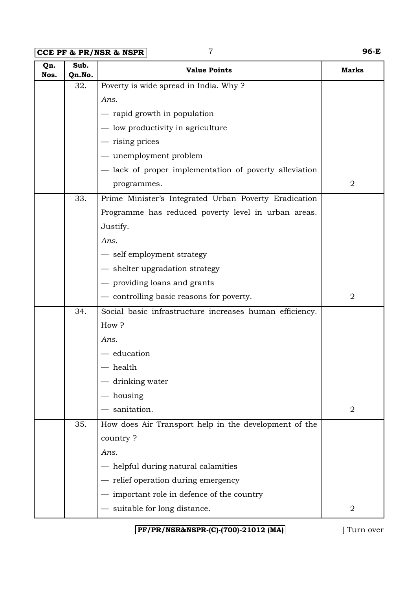**CCE PF & PR/NSR & NSPR** 7 **96-E**

| Qn.<br>Nos. | Sub.<br>Qn.No. | <b>Value Points</b>                                     | <b>Marks</b>   |
|-------------|----------------|---------------------------------------------------------|----------------|
|             | 32.            | Poverty is wide spread in India. Why?                   |                |
|             |                | Ans.                                                    |                |
|             |                | - rapid growth in population                            |                |
|             |                | - low productivity in agriculture                       |                |
|             |                | - rising prices                                         |                |
|             |                | - unemployment problem                                  |                |
|             |                | - lack of proper implementation of poverty alleviation  |                |
|             |                | programmes.                                             | $\overline{2}$ |
|             | 33.            | Prime Minister's Integrated Urban Poverty Eradication   |                |
|             |                | Programme has reduced poverty level in urban areas.     |                |
|             |                | Justify.                                                |                |
|             |                | Ans.                                                    |                |
|             |                | - self employment strategy                              |                |
|             |                | - shelter upgradation strategy                          |                |
|             |                | - providing loans and grants                            |                |
|             |                | - controlling basic reasons for poverty.                | $\overline{2}$ |
|             | 34.            | Social basic infrastructure increases human efficiency. |                |
|             |                | How?                                                    |                |
|             |                | Ans.                                                    |                |
|             |                | $-$ education                                           |                |
|             |                | - health                                                |                |
|             |                | drinking water                                          |                |
|             |                | housing                                                 |                |
|             |                | sanitation.                                             | 2              |
|             | 35.            | How does Air Transport help in the development of the   |                |
|             |                | country?                                                |                |
|             |                | Ans.                                                    |                |
|             |                | - helpful during natural calamities                     |                |
|             |                | - relief operation during emergency                     |                |
|             |                | - important role in defence of the country              |                |
|             |                | - suitable for long distance.                           | 2              |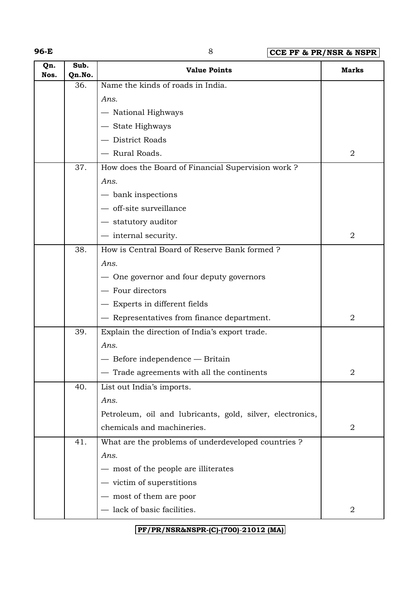**96-E** 8 **CCE PF & PR/NSR & NSPR**

| Qn.<br>Nos. | Sub.<br>Qn.No. | <b>Value Points</b>                                       | <b>Marks</b>     |
|-------------|----------------|-----------------------------------------------------------|------------------|
|             | 36.            | Name the kinds of roads in India.                         |                  |
|             |                | Ans.                                                      |                  |
|             |                | - National Highways                                       |                  |
|             |                | - State Highways                                          |                  |
|             |                | - District Roads                                          |                  |
|             |                | - Rural Roads.                                            | 2                |
|             | 37.            | How does the Board of Financial Supervision work?         |                  |
|             |                | Ans.                                                      |                  |
|             |                | $-$ bank inspections                                      |                  |
|             |                | - off-site surveillance                                   |                  |
|             |                | - statutory auditor                                       |                  |
|             |                | — internal security.                                      | $\overline{2}$   |
|             | 38.            | How is Central Board of Reserve Bank formed ?             |                  |
|             |                | Ans.                                                      |                  |
|             |                | - One governor and four deputy governors                  |                  |
|             |                | - Four directors                                          |                  |
|             |                | - Experts in different fields                             |                  |
|             |                | - Representatives from finance department.                | 2                |
|             | 39.            | Explain the direction of India's export trade.            |                  |
|             |                | Ans.                                                      |                  |
|             |                | - Before independence - Britain                           |                  |
|             |                | Trade agreements with all the continents                  | $\overline{2}$   |
|             | 40.            | List out India's imports.                                 |                  |
|             |                | Ans.                                                      |                  |
|             |                | Petroleum, oil and lubricants, gold, silver, electronics, |                  |
|             |                | chemicals and machineries.                                | $\boldsymbol{2}$ |
|             | 41.            | What are the problems of underdeveloped countries ?       |                  |
|             |                | Ans.                                                      |                  |
|             |                | - most of the people are illiterates                      |                  |
|             |                | $-$ victim of superstitions                               |                  |
|             |                | most of them are poor                                     |                  |
|             |                | - lack of basic facilities.                               | $\overline{2}$   |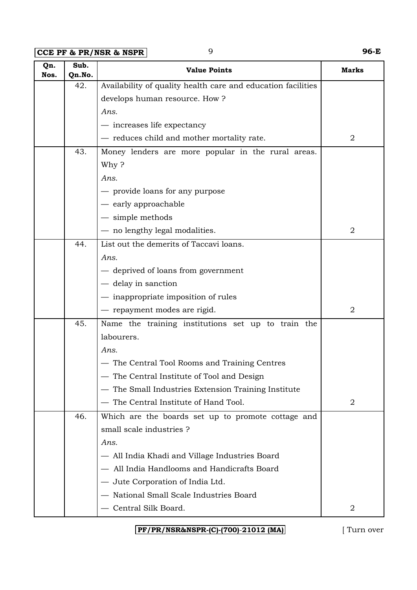**CCE PF & PR/NSR & NSPR** 9 **96-E**

| Qn.<br>Nos. | Sub.<br>Qn.No. | <b>Value Points</b>                                          | <b>Marks</b>   |
|-------------|----------------|--------------------------------------------------------------|----------------|
|             | 42.            | Availability of quality health care and education facilities |                |
|             |                | develops human resource. How?                                |                |
|             |                | Ans.                                                         |                |
|             |                | — increases life expectancy                                  |                |
|             |                | - reduces child and mother mortality rate.                   | $\overline{2}$ |
|             | 43.            | Money lenders are more popular in the rural areas.           |                |
|             |                | Why?                                                         |                |
|             |                | Ans.                                                         |                |
|             |                | - provide loans for any purpose                              |                |
|             |                | - early approachable                                         |                |
|             |                | $-$ simple methods                                           |                |
|             |                | - no lengthy legal modalities.                               | $\overline{2}$ |
|             | 44.            | List out the demerits of Taccavi loans.                      |                |
|             |                | Ans.                                                         |                |
|             |                | — deprived of loans from government                          |                |
|             |                | - delay in sanction                                          |                |
|             |                | - inappropriate imposition of rules                          |                |
|             |                | - repayment modes are rigid.                                 | $\overline{2}$ |
|             | 45.            | Name the training institutions set up to train the           |                |
|             |                | labourers.                                                   |                |
|             |                | Ans.                                                         |                |
|             |                | — The Central Tool Rooms and Training Centres                |                |
|             |                | - The Central Institute of Tool and Design                   |                |
|             |                | The Small Industries Extension Training Institute            |                |
|             |                | The Central Institute of Hand Tool.                          | $\overline{2}$ |
|             | 46.            | Which are the boards set up to promote cottage and           |                |
|             |                | small scale industries ?                                     |                |
|             |                | Ans.                                                         |                |
|             |                | — All India Khadi and Village Industries Board               |                |
|             |                | All India Handlooms and Handicrafts Board                    |                |
|             |                | - Jute Corporation of India Ltd.                             |                |
|             |                | National Small Scale Industries Board                        |                |
|             |                | Central Silk Board.                                          | 2              |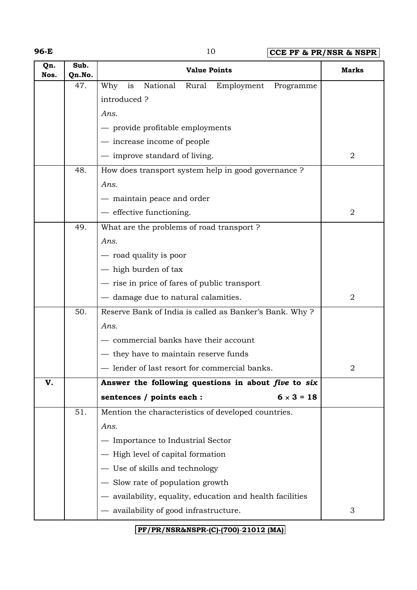**96-E** 10 **CCE PF & PR/NSR & NSPR**

| Qn.<br>Nos. | Sub.<br>Qn.No. | <b>Value Points</b>                                     | <b>Marks</b>   |
|-------------|----------------|---------------------------------------------------------|----------------|
|             | 47.            | National<br>Why<br>is<br>Rural<br>Employment Programme  |                |
|             |                | introduced?                                             |                |
|             |                | Ans.                                                    |                |
|             |                | - provide profitable employments                        |                |
|             |                | — increase income of people                             |                |
|             |                | - improve standard of living.                           | $\sqrt{2}$     |
|             | 48.            | How does transport system help in good governance ?     |                |
|             |                | Ans.                                                    |                |
|             |                | - maintain peace and order                              |                |
|             |                | - effective functioning.                                | 2              |
|             | 49.            | What are the problems of road transport ?               |                |
|             |                | Ans.                                                    |                |
|             |                | - road quality is poor                                  |                |
|             |                | - high burden of tax                                    |                |
|             |                | - rise in price of fares of public transport            |                |
|             |                | - damage due to natural calamities.                     | $\overline{2}$ |
|             | 50.            | Reserve Bank of India is called as Banker's Bank. Why?  |                |
|             |                | Ans.                                                    |                |
|             |                | commercial banks have their account                     |                |
|             |                | — they have to maintain reserve funds                   |                |
|             |                | - lender of last resort for commercial banks.           | 2              |
| V.          |                | Answer the following questions in about five to six     |                |
|             |                | sentences / points each :<br>$6 \times 3 = 18$          |                |
|             | 51.            | Mention the characteristics of developed countries.     |                |
|             |                | Ans.                                                    |                |
|             |                | Importance to Industrial Sector                         |                |
|             |                | High level of capital formation                         |                |
|             |                | - Use of skills and technology                          |                |
|             |                | - Slow rate of population growth                        |                |
|             |                | availability, equality, education and health facilities |                |
|             |                | availability of good infrastructure.                    | 3              |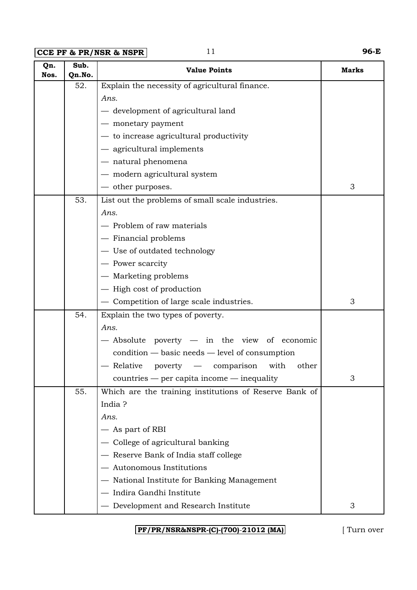**CCE PF & PR/NSR & NSPR** 11 **96-E** 

| Qn.<br>Nos. | Sub.<br>Qn.No. | <b>Value Points</b>                                      | Marks |
|-------------|----------------|----------------------------------------------------------|-------|
|             | 52.            | Explain the necessity of agricultural finance.           |       |
|             |                | Ans.                                                     |       |
|             |                | - development of agricultural land                       |       |
|             |                | - monetary payment                                       |       |
|             |                | - to increase agricultural productivity                  |       |
|             |                | - agricultural implements                                |       |
|             |                | - natural phenomena                                      |       |
|             |                | - modern agricultural system                             |       |
|             |                | - other purposes.                                        | 3     |
|             | 53.            | List out the problems of small scale industries.         |       |
|             |                | Ans.                                                     |       |
|             |                | - Problem of raw materials                               |       |
|             |                | - Financial problems                                     |       |
|             |                | - Use of outdated technology                             |       |
|             |                | - Power scarcity                                         |       |
|             |                | - Marketing problems                                     |       |
|             |                | - High cost of production                                |       |
|             |                | - Competition of large scale industries.                 | 3     |
|             | 54.            | Explain the two types of poverty.                        |       |
|             |                | Ans.                                                     |       |
|             |                | - Absolute poverty - in the view of economic             |       |
|             |                | $condition - basic needs - level of consumption$         |       |
|             |                | - Relative<br>poverty<br>$-$ comparison<br>with<br>other |       |
|             |                | $countries - per capita income - inequality$             | 3     |
|             | 55.            | Which are the training institutions of Reserve Bank of   |       |
|             |                | India?                                                   |       |
|             |                | Ans.                                                     |       |
|             |                | - As part of RBI                                         |       |
|             |                | College of agricultural banking                          |       |
|             |                | - Reserve Bank of India staff college                    |       |
|             |                | - Autonomous Institutions                                |       |
|             |                | - National Institute for Banking Management              |       |
|             |                | - Indira Gandhi Institute                                |       |
|             |                | - Development and Research Institute                     | 3     |